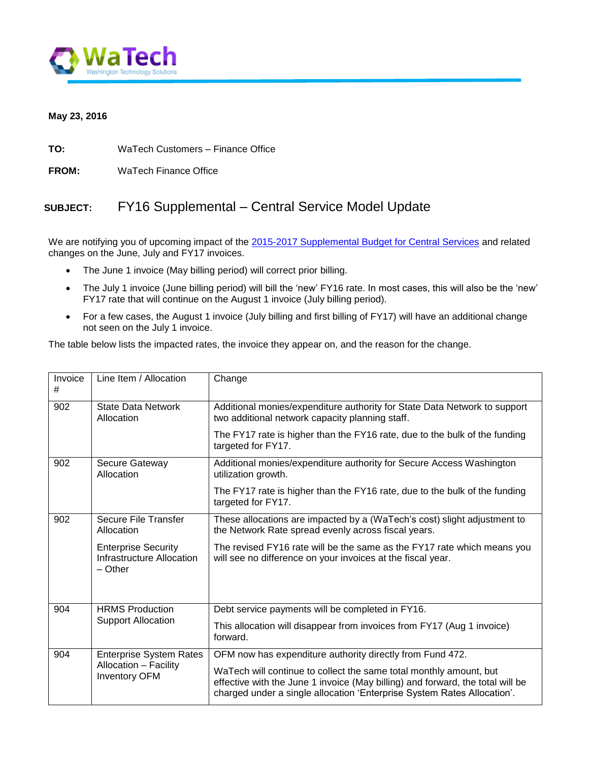

## **May 23, 2016**

**TO:** WaTech Customers – Finance Office

**FROM:** WaTech Finance Office

## **SUBJECT:** FY16 Supplemental – Central Service Model Update

We are notifying you of upcoming impact of the [2015-2017 Supplemental Budget for Central Services](http://www.ofm.wa.gov/budget16/recsum/centralServiceModel2016supp.pdf) and related changes on the June, July and FY17 invoices.

- The June 1 invoice (May billing period) will correct prior billing.
- The July 1 invoice (June billing period) will bill the 'new' FY16 rate. In most cases, this will also be the 'new' FY17 rate that will continue on the August 1 invoice (July billing period).
- For a few cases, the August 1 invoice (July billing and first billing of FY17) will have an additional change not seen on the July 1 invoice.

The table below lists the impacted rates, the invoice they appear on, and the reason for the change.

| Invoice<br># | Line Item / Allocation                                                          | Change                                                                                                                                                                                                                          |
|--------------|---------------------------------------------------------------------------------|---------------------------------------------------------------------------------------------------------------------------------------------------------------------------------------------------------------------------------|
| 902          | <b>State Data Network</b><br>Allocation                                         | Additional monies/expenditure authority for State Data Network to support<br>two additional network capacity planning staff.                                                                                                    |
|              |                                                                                 | The FY17 rate is higher than the FY16 rate, due to the bulk of the funding<br>targeted for FY17.                                                                                                                                |
| 902          | Secure Gateway<br>Allocation                                                    | Additional monies/expenditure authority for Secure Access Washington<br>utilization growth.                                                                                                                                     |
|              |                                                                                 | The FY17 rate is higher than the FY16 rate, due to the bulk of the funding<br>targeted for FY17.                                                                                                                                |
| 902          | <b>Secure File Transfer</b><br>Allocation                                       | These allocations are impacted by a (WaTech's cost) slight adjustment to<br>the Network Rate spread evenly across fiscal years.                                                                                                 |
|              | <b>Enterprise Security</b><br>Infrastructure Allocation<br>$-$ Other            | The revised FY16 rate will be the same as the FY17 rate which means you<br>will see no difference on your invoices at the fiscal year.                                                                                          |
| 904          | <b>HRMS Production</b><br><b>Support Allocation</b>                             | Debt service payments will be completed in FY16.                                                                                                                                                                                |
|              |                                                                                 | This allocation will disappear from invoices from FY17 (Aug 1 invoice)<br>forward.                                                                                                                                              |
| 904          | <b>Enterprise System Rates</b><br>Allocation - Facility<br><b>Inventory OFM</b> | OFM now has expenditure authority directly from Fund 472.                                                                                                                                                                       |
|              |                                                                                 | WaTech will continue to collect the same total monthly amount, but<br>effective with the June 1 invoice (May billing) and forward, the total will be<br>charged under a single allocation 'Enterprise System Rates Allocation'. |